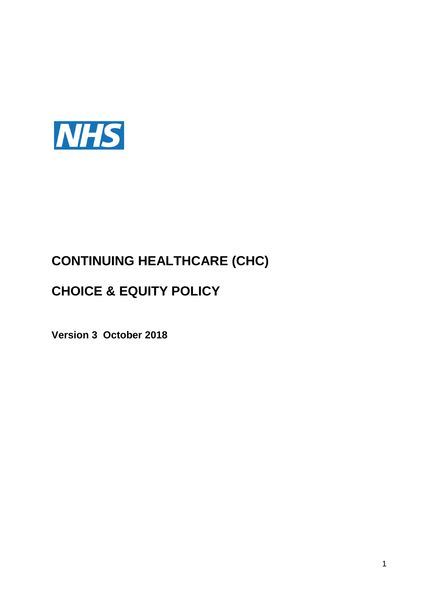

# **CONTINUING HEALTHCARE (CHC)**

## **CHOICE & EQUITY POLICY**

**Version 3 October 2018**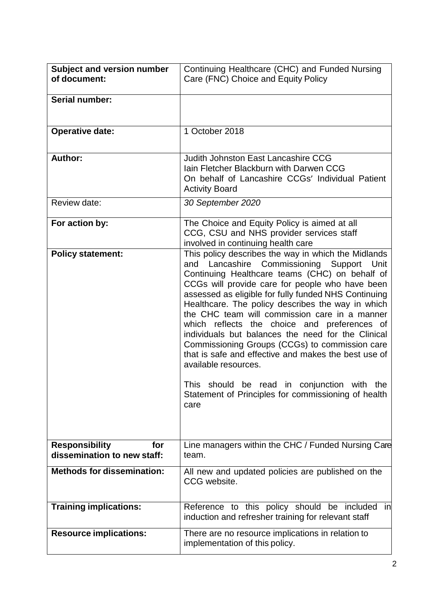| Subject and version number<br>of document:                  | Continuing Healthcare (CHC) and Funded Nursing<br>Care (FNC) Choice and Equity Policy                                                                                                                                                                                                                                                                                                                                                                                                                                                                                                                                                                                                                                                 |
|-------------------------------------------------------------|---------------------------------------------------------------------------------------------------------------------------------------------------------------------------------------------------------------------------------------------------------------------------------------------------------------------------------------------------------------------------------------------------------------------------------------------------------------------------------------------------------------------------------------------------------------------------------------------------------------------------------------------------------------------------------------------------------------------------------------|
| Serial number:                                              |                                                                                                                                                                                                                                                                                                                                                                                                                                                                                                                                                                                                                                                                                                                                       |
| <b>Operative date:</b>                                      | 1 October 2018                                                                                                                                                                                                                                                                                                                                                                                                                                                                                                                                                                                                                                                                                                                        |
| Author:                                                     | <b>Judith Johnston East Lancashire CCG</b><br>Iain Fletcher Blackburn with Darwen CCG<br>On behalf of Lancashire CCGs' Individual Patient<br><b>Activity Board</b>                                                                                                                                                                                                                                                                                                                                                                                                                                                                                                                                                                    |
| Review date:                                                | 30 September 2020                                                                                                                                                                                                                                                                                                                                                                                                                                                                                                                                                                                                                                                                                                                     |
| For action by:                                              | The Choice and Equity Policy is aimed at all<br>CCG, CSU and NHS provider services staff<br>involved in continuing health care                                                                                                                                                                                                                                                                                                                                                                                                                                                                                                                                                                                                        |
| <b>Policy statement:</b>                                    | This policy describes the way in which the Midlands<br>and Lancashire Commissioning Support<br>Unit<br>Continuing Healthcare teams (CHC) on behalf of<br>CCGs will provide care for people who have been<br>assessed as eligible for fully funded NHS Continuing<br>Healthcare. The policy describes the way in which<br>the CHC team will commission care in a manner<br>which reflects the choice and preferences of<br>individuals but balances the need for the Clinical<br>Commissioning Groups (CCGs) to commission care<br>that is safe and effective and makes the best use of<br>available resources.<br>This<br>should be read in conjunction<br>with<br>the<br>Statement of Principles for commissioning of health<br>care |
| <b>Responsibility</b><br>for<br>dissemination to new staff: | Line managers within the CHC / Funded Nursing Care<br>team.                                                                                                                                                                                                                                                                                                                                                                                                                                                                                                                                                                                                                                                                           |
| <b>Methods for dissemination:</b>                           | All new and updated policies are published on the<br>CCG website.                                                                                                                                                                                                                                                                                                                                                                                                                                                                                                                                                                                                                                                                     |
| <b>Training implications:</b>                               | Reference to this policy should be included<br>in<br>induction and refresher training for relevant staff                                                                                                                                                                                                                                                                                                                                                                                                                                                                                                                                                                                                                              |
| <b>Resource implications:</b>                               | There are no resource implications in relation to<br>implementation of this policy.                                                                                                                                                                                                                                                                                                                                                                                                                                                                                                                                                                                                                                                   |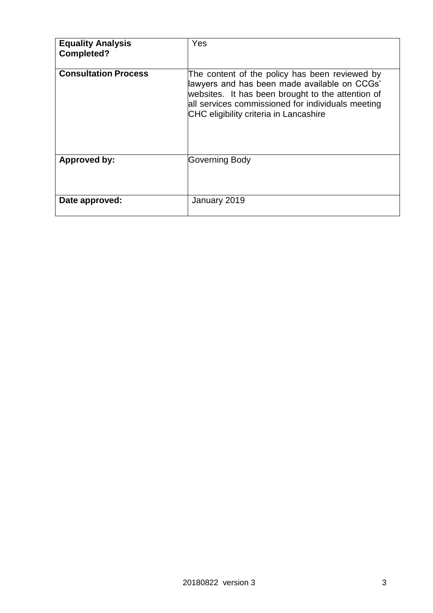| <b>Equality Analysis</b><br><b>Completed?</b> | Yes                                                                                                                                                                                                                                                |
|-----------------------------------------------|----------------------------------------------------------------------------------------------------------------------------------------------------------------------------------------------------------------------------------------------------|
| <b>Consultation Process</b>                   | The content of the policy has been reviewed by<br>lawyers and has been made available on CCGs'<br>websites. It has been brought to the attention of<br>all services commissioned for individuals meeting<br>CHC eligibility criteria in Lancashire |
| Approved by:                                  | Governing Body                                                                                                                                                                                                                                     |
| Date approved:                                | January 2019                                                                                                                                                                                                                                       |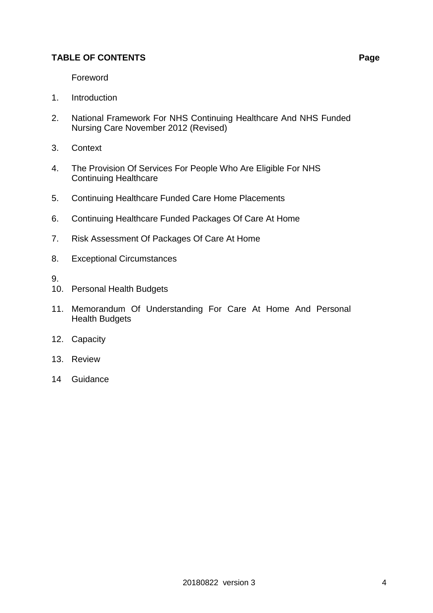### **TABLE OF CONTENTS Page**

- 1. Introduction
- 2. National Framework For NHS Continuing Healthcare And NHS Funded Nursing Care November 2012 (Revised)
- 3. Context
- 4. The Provision Of Services For People Who Are Eligible For NHS Continuing Healthcare
- 5. Continuing Healthcare Funded Care Home Placements
- 6. Continuing Healthcare Funded Packages Of Care At Home
- 7. Risk Assessment Of Packages Of Care At Home
- 8. Exceptional Circumstances
- 9.
- 10. Personal Health Budgets
- 11. Memorandum Of Understanding For Care At Home And Personal Health Budgets
- 12. Capacity
- 13. Review
- 14 Guidance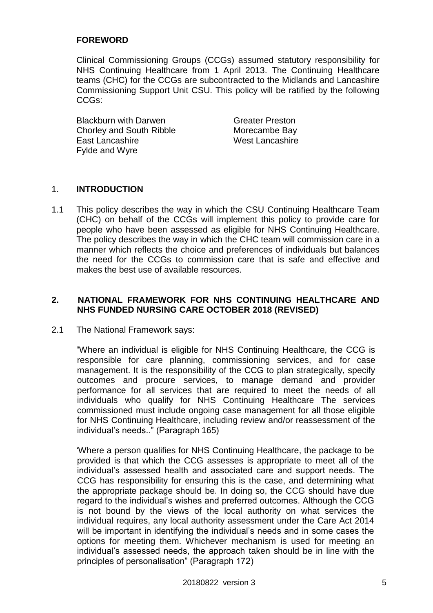### **FOREWORD**

Clinical Commissioning Groups (CCGs) assumed statutory responsibility for NHS Continuing Healthcare from 1 April 2013. The Continuing Healthcare teams (CHC) for the CCGs are subcontracted to the Midlands and Lancashire Commissioning Support Unit CSU. This policy will be ratified by the following CCGs:

**Blackburn with Darwen** Greater Preston Chorley and South Ribble Morecambe Bay East Lancashire West Lancashire Fylde and Wyre

### 1. **INTRODUCTION**

1.1 This policy describes the way in which the CSU Continuing Healthcare Team (CHC) on behalf of the CCGs will implement this policy to provide care for people who have been assessed as eligible for NHS Continuing Healthcare. The policy describes the way in which the CHC team will commission care in a manner which reflects the choice and preferences of individuals but balances the need for the CCGs to commission care that is safe and effective and makes the best use of available resources.

### 2. NATIONAL FRAMEWORK FOR NHS CONTINUING HEALTHCARE AND **NHS FUNDED NURSING CARE OCTOBER 2018 (REVISED)**

2.1 The National Framework says:

"Where an individual is eligible for NHS Continuing Healthcare, the CCG is responsible for care planning, commissioning services, and for case management. It is the responsibility of the CCG to plan strategically, specify outcomes and procure services, to manage demand and provider performance for all services that are required to meet the needs of all individuals who qualify for NHS Continuing Healthcare The services commissioned must include ongoing case management for all those eligible for NHS Continuing Healthcare, including review and/or reassessment of the individual's needs.." (Paragraph 165)

'Where a person qualifies for NHS Continuing Healthcare, the package to be provided is that which the CCG assesses is appropriate to meet all of the individual's assessed health and associated care and support needs. The CCG has responsibility for ensuring this is the case, and determining what the appropriate package should be. In doing so, the CCG should have due regard to the individual's wishes and preferred outcomes. Although the CCG is not bound by the views of the local authority on what services the individual requires, any local authority assessment under the Care Act 2014 will be important in identifying the individual's needs and in some cases the options for meeting them. Whichever mechanism is used for meeting an individual's assessed needs, the approach taken should be in line with the principles of personalisation" (Paragraph 172)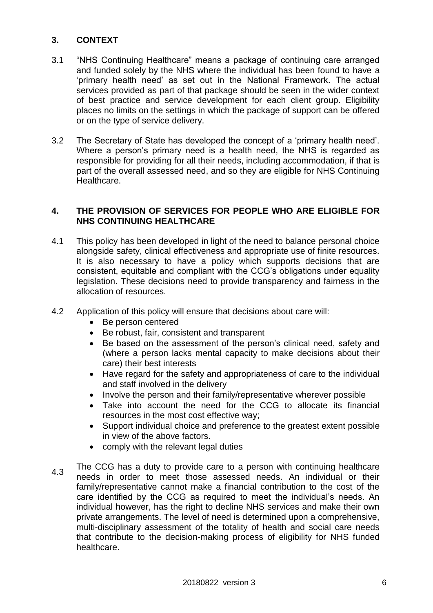#### **3. CONTEXT**

- 3.1 "NHS Continuing Healthcare" means a package of continuing care arranged and funded solely by the NHS where the individual has been found to have a 'primary health need' as set out in the National Framework. The actual services provided as part of that package should be seen in the wider context of best practice and service development for each client group. Eligibility places no limits on the settings in which the package of support can be offered or on the type of service delivery.
- 3.2 The Secretary of State has developed the concept of a 'primary health need'. Where a person's primary need is a health need, the NHS is regarded as responsible for providing for all their needs, including accommodation, if that is part of the overall assessed need, and so they are eligible for NHS Continuing Healthcare.

#### **4. THE PROVISION OF SERVICES FOR PEOPLE WHO ARE ELIGIBLE FOR NHS CONTINUING HEALTHCARE**

- 4.1 This policy has been developed in light of the need to balance personal choice alongside safety, clinical effectiveness and appropriate use of finite resources. It is also necessary to have a policy which supports decisions that are consistent, equitable and compliant with the CCG's obligations under equality legislation. These decisions need to provide transparency and fairness in the allocation of resources.
- 4.2 Application of this policy will ensure that decisions about care will:
	- Be person centered
	- Be robust, fair, consistent and transparent
	- Be based on the assessment of the person's clinical need, safety and (where a person lacks mental capacity to make decisions about their care) their best interests
	- Have regard for the safety and appropriateness of care to the individual and staff involved in the delivery
	- Involve the person and their family/representative wherever possible
	- Take into account the need for the CCG to allocate its financial resources in the most cost effective way;
	- Support individual choice and preference to the greatest extent possible in view of the above factors.
	- comply with the relevant legal duties
- 4.3 The CCG has a duty to provide care to a person with continuing healthcare needs in order to meet those assessed needs. An individual or their family/representative cannot make a financial contribution to the cost of the care identified by the CCG as required to meet the individual's needs. An individual however, has the right to decline NHS services and make their own private arrangements. The level of need is determined upon a comprehensive, multi-disciplinary assessment of the totality of health and social care needs that contribute to the decision-making process of eligibility for NHS funded healthcare.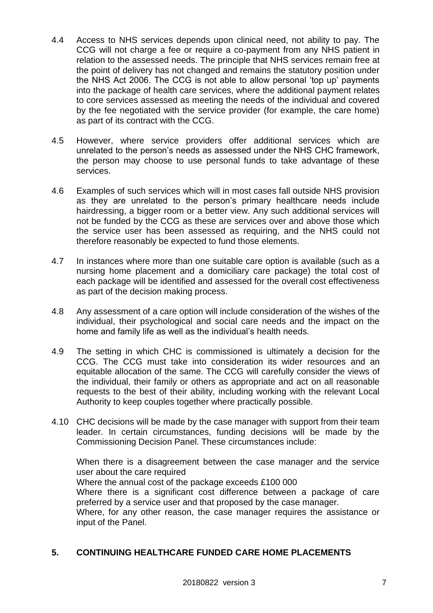- 4.4 Access to NHS services depends upon clinical need, not ability to pay. The CCG will not charge a fee or require a co-payment from any NHS patient in relation to the assessed needs. The principle that NHS services remain free at the point of delivery has not changed and remains the statutory position under the NHS Act 2006. The CCG is not able to allow personal 'top up' payments into the package of health care services, where the additional payment relates to core services assessed as meeting the needs of the individual and covered by the fee negotiated with the service provider (for example, the care home) as part of its contract with the CCG.
- 4.5 However, where service providers offer additional services which are unrelated to the person's needs as assessed under the NHS CHC framework, the person may choose to use personal funds to take advantage of these services.
- 4.6 Examples of such services which will in most cases fall outside NHS provision as they are unrelated to the person's primary healthcare needs include hairdressing, a bigger room or a better view. Any such additional services will not be funded by the CCG as these are services over and above those which the service user has been assessed as requiring, and the NHS could not therefore reasonably be expected to fund those elements.
- 4.7 In instances where more than one suitable care option is available (such as a nursing home placement and a domiciliary care package) the total cost of each package will be identified and assessed for the overall cost effectiveness as part of the decision making process.
- 4.8 Any assessment of a care option will include consideration of the wishes of the individual, their psychological and social care needs and the impact on the home and family life as well as the individual's health needs.
- 4.9 The setting in which CHC is commissioned is ultimately a decision for the CCG. The CCG must take into consideration its wider resources and an equitable allocation of the same. The CCG will carefully consider the views of the individual, their family or others as appropriate and act on all reasonable requests to the best of their ability, including working with the relevant Local Authority to keep couples together where practically possible.
- 4.10 CHC decisions will be made by the case manager with support from their team leader. In certain circumstances, funding decisions will be made by the Commissioning Decision Panel. These circumstances include:

When there is a disagreement between the case manager and the service user about the care required Where the annual cost of the package exceeds £100 000 Where there is a significant cost difference between a package of care preferred by a service user and that proposed by the case manager. Where, for any other reason, the case manager requires the assistance or input of the Panel.

### **5. CONTINUING HEALTHCARE FUNDED CARE HOME PLACEMENTS**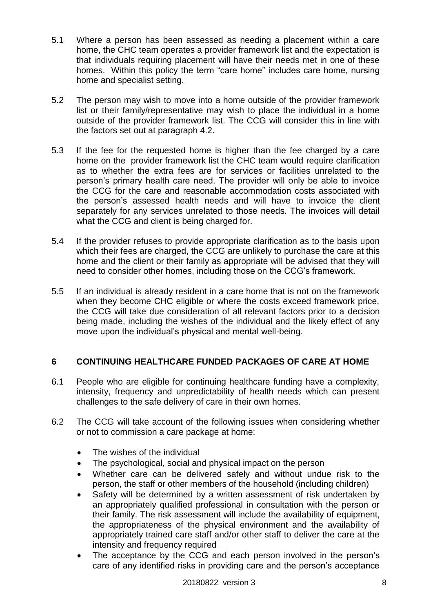- 5.1 Where a person has been assessed as needing a placement within a care home, the CHC team operates a provider framework list and the expectation is that individuals requiring placement will have their needs met in one of these homes. Within this policy the term "care home" includes care home, nursing home and specialist setting.
- 5.2 The person may wish to move into a home outside of the provider framework list or their family/representative may wish to place the individual in a home outside of the provider framework list. The CCG will consider this in line with the factors set out at paragraph 4.2.
- 5.3 If the fee for the requested home is higher than the fee charged by a care home on the provider framework list the CHC team would require clarification as to whether the extra fees are for services or facilities unrelated to the person's primary health care need. The provider will only be able to invoice the CCG for the care and reasonable accommodation costs associated with the person's assessed health needs and will have to invoice the client separately for any services unrelated to those needs. The invoices will detail what the CCG and client is being charged for.
- 5.4 If the provider refuses to provide appropriate clarification as to the basis upon which their fees are charged, the CCG are unlikely to purchase the care at this home and the client or their family as appropriate will be advised that they will need to consider other homes, including those on the CCG's framework.
- 5.5 If an individual is already resident in a care home that is not on the framework when they become CHC eligible or where the costs exceed framework price, the CCG will take due consideration of all relevant factors prior to a decision being made, including the wishes of the individual and the likely effect of any move upon the individual's physical and mental well-being.

#### **6 CONTINUING HEALTHCARE FUNDED PACKAGES OF CARE AT HOME**

- 6.1 People who are eligible for continuing healthcare funding have a complexity, intensity, frequency and unpredictability of health needs which can present challenges to the safe delivery of care in their own homes.
- 6.2 The CCG will take account of the following issues when considering whether or not to commission a care package at home:
	- The wishes of the individual
	- The psychological, social and physical impact on the person
	- Whether care can be delivered safely and without undue risk to the person, the staff or other members of the household (including children)
	- Safety will be determined by a written assessment of risk undertaken by an appropriately qualified professional in consultation with the person or their family. The risk assessment will include the availability of equipment, the appropriateness of the physical environment and the availability of appropriately trained care staff and/or other staff to deliver the care at the intensity and frequency required
	- The acceptance by the CCG and each person involved in the person's care of any identified risks in providing care and the person's acceptance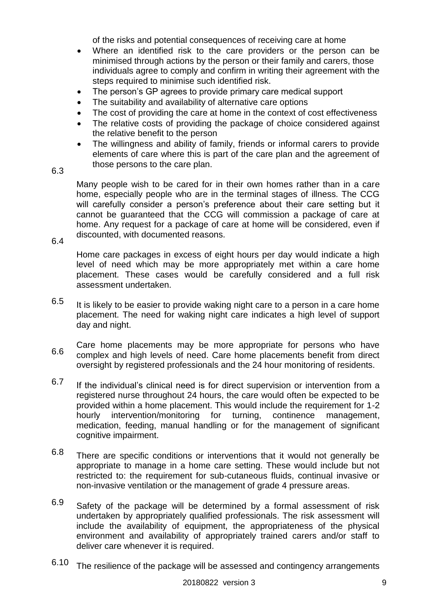of the risks and potential consequences of receiving care at home

- Where an identified risk to the care providers or the person can be minimised through actions by the person or their family and carers, those individuals agree to comply and confirm in writing their agreement with the steps required to minimise such identified risk.
- The person's GP agrees to provide primary care medical support
- The suitability and availability of alternative care options
- The cost of providing the care at home in the context of cost effectiveness
- The relative costs of providing the package of choice considered against the relative benefit to the person
- The willingness and ability of family, friends or informal carers to provide elements of care where this is part of the care plan and the agreement of those persons to the care plan.
- 6.3

Many people wish to be cared for in their own homes rather than in a care home, especially people who are in the terminal stages of illness. The CCG will carefully consider a person's preference about their care setting but it cannot be guaranteed that the CCG will commission a package of care at home. Any request for a package of care at home will be considered, even if discounted, with documented reasons.

6.4

Home care packages in excess of eight hours per day would indicate a high level of need which may be more appropriately met within a care home placement. These cases would be carefully considered and a full risk assessment undertaken.

- 6.5 It is likely to be easier to provide waking night care to a person in a care home placement. The need for waking night care indicates a high level of support day and night.
- 6.6 Care home placements may be more appropriate for persons who have complex and high levels of need. Care home placements benefit from direct oversight by registered professionals and the 24 hour monitoring of residents.
- 6.7 If the individual's clinical need is for direct supervision or intervention from a registered nurse throughout 24 hours, the care would often be expected to be provided within a home placement. This would include the requirement for 1-2 hourly intervention/monitoring for turning, continence management, medication, feeding, manual handling or for the management of significant cognitive impairment.
- 6.8 There are specific conditions or interventions that it would not generally be appropriate to manage in a home care setting. These would include but not restricted to: the requirement for sub-cutaneous fluids, continual invasive or non-invasive ventilation or the management of grade 4 pressure areas.
- 6.9 Safety of the package will be determined by a formal assessment of risk undertaken by appropriately qualified professionals. The risk assessment will include the availability of equipment, the appropriateness of the physical environment and availability of appropriately trained carers and/or staff to deliver care whenever it is required.
- 6.10 The resilience of the package will be assessed and contingency arrangements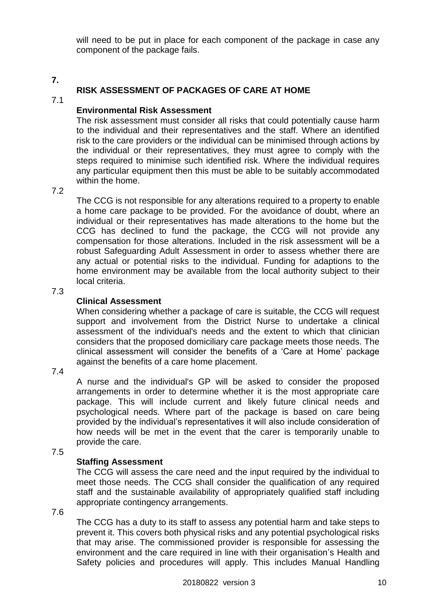will need to be put in place for each component of the package in case any component of the package fails.

#### **7.**

### **RISK ASSESSMENT OF PACKAGES OF CARE AT HOME**

### 7.1

#### **Environmental Risk Assessment**

The risk assessment must consider all risks that could potentially cause harm to the individual and their representatives and the staff. Where an identified risk to the care providers or the individual can be minimised through actions by the individual or their representatives, they must agree to comply with the steps required to minimise such identified risk. Where the individual requires any particular equipment then this must be able to be suitably accommodated within the home.

#### 7.2

The CCG is not responsible for any alterations required to a property to enable a home care package to be provided. For the avoidance of doubt, where an individual or their representatives has made alterations to the home but the CCG has declined to fund the package, the CCG will not provide any compensation for those alterations. Included in the risk assessment will be a robust Safeguarding Adult Assessment in order to assess whether there are any actual or potential risks to the individual. Funding for adaptions to the home environment may be available from the local authority subject to their local criteria.

### 7.3

### **Clinical Assessment**

When considering whether a package of care is suitable, the CCG will request support and involvement from the District Nurse to undertake a clinical assessment of the individual's needs and the extent to which that clinician considers that the proposed domiciliary care package meets those needs. The clinical assessment will consider the benefits of a 'Care at Home' package against the benefits of a care home placement.

#### 7.4

A nurse and the individual's GP will be asked to consider the proposed arrangements in order to determine whether it is the most appropriate care package. This will include current and likely future clinical needs and psychological needs. Where part of the package is based on care being provided by the individual's representatives it will also include consideration of how needs will be met in the event that the carer is temporarily unable to provide the care.

#### 7.5

### **Staffing Assessment**

The CCG will assess the care need and the input required by the individual to meet those needs. The CCG shall consider the qualification of any required staff and the sustainable availability of appropriately qualified staff including appropriate contingency arrangements.

7.6

The CCG has a duty to its staff to assess any potential harm and take steps to prevent it. This covers both physical risks and any potential psychological risks that may arise. The commissioned provider is responsible for assessing the environment and the care required in line with their organisation's Health and Safety policies and procedures will apply. This includes Manual Handling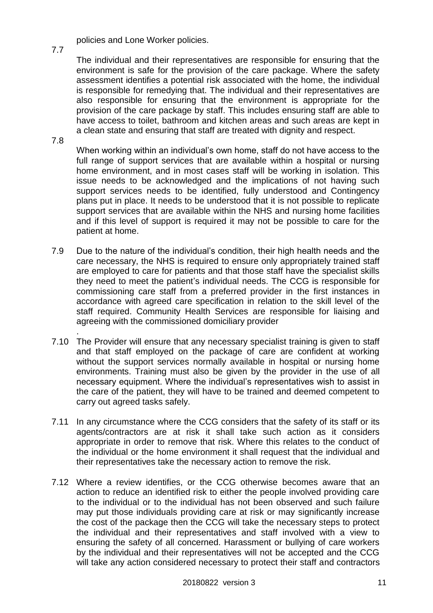policies and Lone Worker policies.

The individual and their representatives are responsible for ensuring that the environment is safe for the provision of the care package. Where the safety assessment identifies a potential risk associated with the home, the individual is responsible for remedying that. The individual and their representatives are also responsible for ensuring that the environment is appropriate for the provision of the care package by staff. This includes ensuring staff are able to have access to toilet, bathroom and kitchen areas and such areas are kept in a clean state and ensuring that staff are treated with dignity and respect.

7.8

7.7

When working within an individual's own home, staff do not have access to the full range of support services that are available within a hospital or nursing home environment, and in most cases staff will be working in isolation. This issue needs to be acknowledged and the implications of not having such support services needs to be identified, fully understood and Contingency plans put in place. It needs to be understood that it is not possible to replicate support services that are available within the NHS and nursing home facilities and if this level of support is required it may not be possible to care for the patient at home.

- 7.9 Due to the nature of the individual's condition, their high health needs and the care necessary, the NHS is required to ensure only appropriately trained staff are employed to care for patients and that those staff have the specialist skills they need to meet the patient's individual needs. The CCG is responsible for commissioning care staff from a preferred provider in the first instances in accordance with agreed care specification in relation to the skill level of the staff required. Community Health Services are responsible for liaising and agreeing with the commissioned domiciliary provider
- 7.10 The Provider will ensure that any necessary specialist training is given to staff . and that staff employed on the package of care are confident at working without the support services normally available in hospital or nursing home environments. Training must also be given by the provider in the use of all necessary equipment. Where the individual's representatives wish to assist in the care of the patient, they will have to be trained and deemed competent to carry out agreed tasks safely.
- 7.11 In any circumstance where the CCG considers that the safety of its staff or its agents/contractors are at risk it shall take such action as it considers appropriate in order to remove that risk. Where this relates to the conduct of the individual or the home environment it shall request that the individual and their representatives take the necessary action to remove the risk.
- 7.12 Where a review identifies, or the CCG otherwise becomes aware that an action to reduce an identified risk to either the people involved providing care to the individual or to the individual has not been observed and such failure may put those individuals providing care at risk or may significantly increase the cost of the package then the CCG will take the necessary steps to protect the individual and their representatives and staff involved with a view to ensuring the safety of all concerned. Harassment or bullying of care workers by the individual and their representatives will not be accepted and the CCG will take any action considered necessary to protect their staff and contractors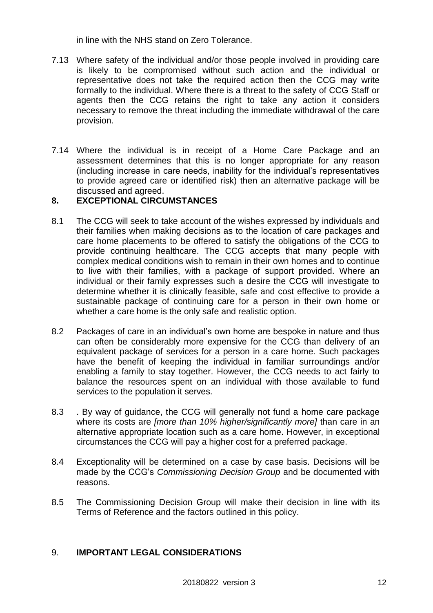in line with the NHS stand on Zero Tolerance.

- 7.13 Where safety of the individual and/or those people involved in providing care is likely to be compromised without such action and the individual or representative does not take the required action then the CCG may write formally to the individual. Where there is a threat to the safety of CCG Staff or agents then the CCG retains the right to take any action it considers necessary to remove the threat including the immediate withdrawal of the care provision.
- 7.14 Where the individual is in receipt of a Home Care Package and an assessment determines that this is no longer appropriate for any reason (including increase in care needs, inability for the individual's representatives to provide agreed care or identified risk) then an alternative package will be discussed and agreed.

#### **8. EXCEPTIONAL CIRCUMSTANCES**

- 8.1 The CCG will seek to take account of the wishes expressed by individuals and their families when making decisions as to the location of care packages and care home placements to be offered to satisfy the obligations of the CCG to provide continuing healthcare. The CCG accepts that many people with complex medical conditions wish to remain in their own homes and to continue to live with their families, with a package of support provided. Where an individual or their family expresses such a desire the CCG will investigate to determine whether it is clinically feasible, safe and cost effective to provide a sustainable package of continuing care for a person in their own home or whether a care home is the only safe and realistic option.
- 8.2 Packages of care in an individual's own home are bespoke in nature and thus can often be considerably more expensive for the CCG than delivery of an equivalent package of services for a person in a care home. Such packages have the benefit of keeping the individual in familiar surroundings and/or enabling a family to stay together. However, the CCG needs to act fairly to balance the resources spent on an individual with those available to fund services to the population it serves.
- 8.3 . By way of guidance, the CCG will generally not fund a home care package where its costs are *[more than 10% higher/significantly more]* than care in an alternative appropriate location such as a care home. However, in exceptional circumstances the CCG will pay a higher cost for a preferred package.
- 8.4 Exceptionality will be determined on a case by case basis. Decisions will be made by the CCG's *Commissioning Decision Group* and be documented with reasons.
- 8.5 The Commissioning Decision Group will make their decision in line with its Terms of Reference and the factors outlined in this policy.

#### 9. **IMPORTANT LEGAL CONSIDERATIONS**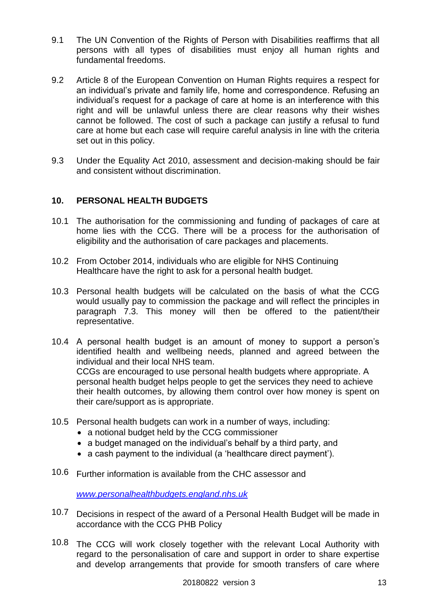- 9.1 The UN Convention of the Rights of Person with Disabilities reaffirms that all persons with all types of disabilities must enjoy all human rights and fundamental freedoms.
- 9.2 Article 8 of the European Convention on Human Rights requires a respect for an individual's private and family life, home and correspondence. Refusing an individual's request for a package of care at home is an interference with this right and will be unlawful unless there are clear reasons why their wishes cannot be followed. The cost of such a package can justify a refusal to fund care at home but each case will require careful analysis in line with the criteria set out in this policy.
- 9.3 Under the Equality Act 2010, assessment and decision-making should be fair and consistent without discrimination.

#### **10. PERSONAL HEALTH BUDGETS**

- 10.1 The authorisation for the commissioning and funding of packages of care at home lies with the CCG. There will be a process for the authorisation of eligibility and the authorisation of care packages and placements.
- 10.2 From October 2014, individuals who are eligible for NHS Continuing Healthcare have the right to ask for a personal health budget.
- 10.3 Personal health budgets will be calculated on the basis of what the CCG would usually pay to commission the package and will reflect the principles in paragraph 7.3. This money will then be offered to the patient/their representative.
- 10.4 A personal health budget is an amount of money to support a person's identified health and wellbeing needs, planned and agreed between the individual and their local NHS team. CCGs are encouraged to use personal health budgets where appropriate. A personal health budget helps people to get the services they need to achieve their health outcomes, by allowing them control over how money is spent on their care/support as is appropriate.
- 10.5 Personal health budgets can work in a number of ways, including:
	- a notional budget held by the CCG commissioner
	- a budget managed on the individual's behalf by a third party, and
	- a cash payment to the individual (a 'healthcare direct payment').
- 10.6 Further information is available from the CHC assessor and

*[www.personalhealthbudgets.england.nhs.uk](http://www.personalhealthbudgets.england.nhs.uk/)*

- 10.7 Decisions in respect of the award of a Personal Health Budget will be made in accordance with the CCG PHB Policy
- 10.8 The CCG will work closely together with the relevant Local Authority with regard to the personalisation of care and support in order to share expertise and develop arrangements that provide for smooth transfers of care where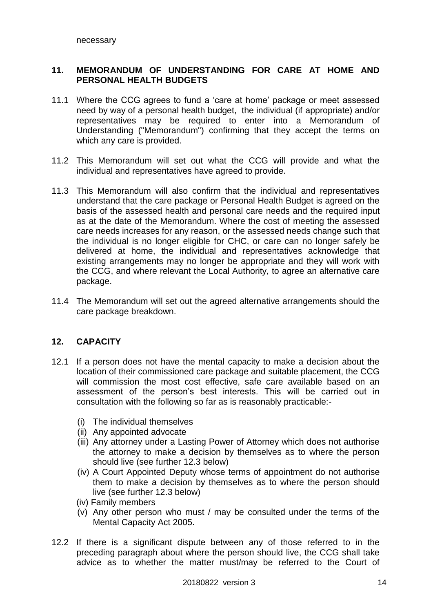#### **11. MEMORANDUM OF UNDERSTANDING FOR CARE AT HOME AND PERSONAL HEALTH BUDGETS**

- 11.1 Where the CCG agrees to fund a 'care at home' package or meet assessed need by way of a personal health budget, the individual (if appropriate) and/or representatives may be required to enter into a Memorandum of Understanding ("Memorandum") confirming that they accept the terms on which any care is provided.
- 11.2 This Memorandum will set out what the CCG will provide and what the individual and representatives have agreed to provide.
- 11.3 This Memorandum will also confirm that the individual and representatives understand that the care package or Personal Health Budget is agreed on the basis of the assessed health and personal care needs and the required input as at the date of the Memorandum. Where the cost of meeting the assessed care needs increases for any reason, or the assessed needs change such that the individual is no longer eligible for CHC, or care can no longer safely be delivered at home, the individual and representatives acknowledge that existing arrangements may no longer be appropriate and they will work with the CCG, and where relevant the Local Authority, to agree an alternative care package.
- 11.4 The Memorandum will set out the agreed alternative arrangements should the care package breakdown.

### **12. CAPACITY**

- 12.1 If a person does not have the mental capacity to make a decision about the location of their commissioned care package and suitable placement, the CCG will commission the most cost effective, safe care available based on an assessment of the person's best interests. This will be carried out in consultation with the following so far as is reasonably practicable:-
	- (i) The individual themselves
	- (ii) Any appointed advocate
	- (iii) Any attorney under a Lasting Power of Attorney which does not authorise the attorney to make a decision by themselves as to where the person should live (see further 12.3 below)
	- (iv) A Court Appointed Deputy whose terms of appointment do not authorise them to make a decision by themselves as to where the person should live (see further 12.3 below)
	- (iv) Family members
	- (v) Any other person who must / may be consulted under the terms of the Mental Capacity Act 2005.
- 12.2 If there is a significant dispute between any of those referred to in the preceding paragraph about where the person should live, the CCG shall take advice as to whether the matter must/may be referred to the Court of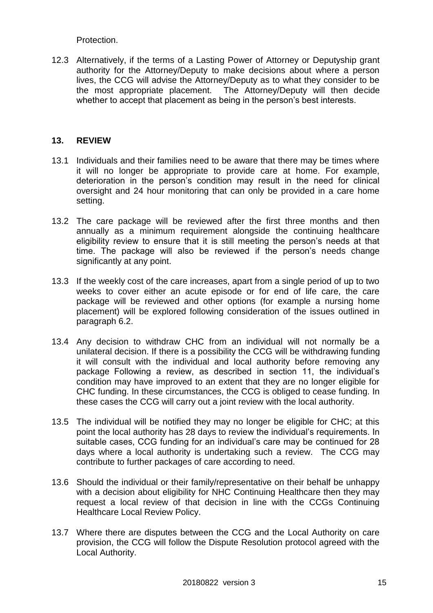Protection.

12.3 Alternatively, if the terms of a Lasting Power of Attorney or Deputyship grant authority for the Attorney/Deputy to make decisions about where a person lives, the CCG will advise the Attorney/Deputy as to what they consider to be the most appropriate placement. The Attorney/Deputy will then decide whether to accept that placement as being in the person's best interests.

#### **13. REVIEW**

- 13.1 Individuals and their families need to be aware that there may be times where it will no longer be appropriate to provide care at home. For example, deterioration in the person's condition may result in the need for clinical oversight and 24 hour monitoring that can only be provided in a care home setting.
- 13.2 The care package will be reviewed after the first three months and then annually as a minimum requirement alongside the continuing healthcare eligibility review to ensure that it is still meeting the person's needs at that time. The package will also be reviewed if the person's needs change significantly at any point.
- 13.3 If the weekly cost of the care increases, apart from a single period of up to two weeks to cover either an acute episode or for end of life care, the care package will be reviewed and other options (for example a nursing home placement) will be explored following consideration of the issues outlined in paragraph 6.2.
- 13.4 Any decision to withdraw CHC from an individual will not normally be a unilateral decision. If there is a possibility the CCG will be withdrawing funding it will consult with the individual and local authority before removing any package Following a review, as described in section 11, the individual's condition may have improved to an extent that they are no longer eligible for CHC funding. In these circumstances, the CCG is obliged to cease funding. In these cases the CCG will carry out a joint review with the local authority.
- 13.5 The individual will be notified they may no longer be eligible for CHC; at this point the local authority has 28 days to review the individual's requirements. In suitable cases, CCG funding for an individual's care may be continued for 28 days where a local authority is undertaking such a review. The CCG may contribute to further packages of care according to need.
- 13.6 Should the individual or their family/representative on their behalf be unhappy with a decision about eligibility for NHC Continuing Healthcare then they may request a local review of that decision in line with the CCGs Continuing Healthcare Local Review Policy.
- 13.7 Where there are disputes between the CCG and the Local Authority on care provision, the CCG will follow the Dispute Resolution protocol agreed with the Local Authority.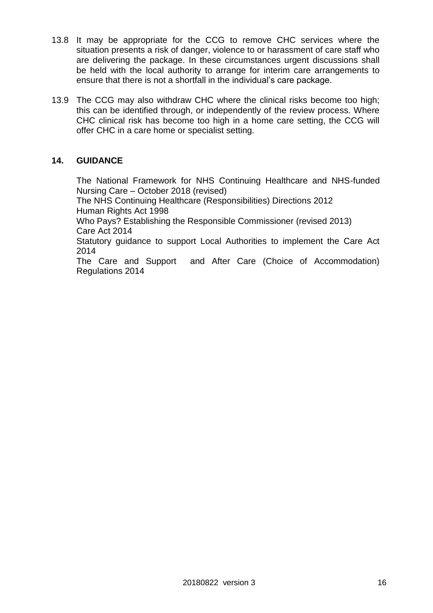- 13.8 It may be appropriate for the CCG to remove CHC services where the situation presents a risk of danger, violence to or harassment of care staff who are delivering the package. In these circumstances urgent discussions shall be held with the local authority to arrange for interim care arrangements to ensure that there is not a shortfall in the individual's care package.
- 13.9 The CCG may also withdraw CHC where the clinical risks become too high; this can be identified through, or independently of the review process. Where CHC clinical risk has become too high in a home care setting, the CCG will offer CHC in a care home or specialist setting.

### **14. GUIDANCE**

The National Framework for NHS Continuing Healthcare and NHS-funded Nursing Care – October 2018 (revised) The NHS Continuing Healthcare (Responsibilities) Directions 2012 Human Rights Act 1998 Who Pays? Establishing the Responsible Commissioner (revised 2013) Care Act 2014 Statutory guidance to support Local Authorities to implement the Care Act 2014 The Care and Support and After Care (Choice of Accommodation) Regulations 2014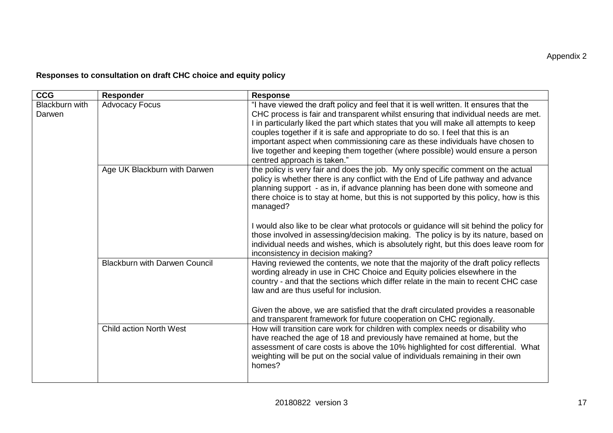## **Responses to consultation on draft CHC choice and equity policy**

| <b>CCG</b>               | <b>Responder</b>                     | <b>Response</b>                                                                                                                                                                                                                                                                                                                                                                                                                                                                                                                                                                                                                                                          |
|--------------------------|--------------------------------------|--------------------------------------------------------------------------------------------------------------------------------------------------------------------------------------------------------------------------------------------------------------------------------------------------------------------------------------------------------------------------------------------------------------------------------------------------------------------------------------------------------------------------------------------------------------------------------------------------------------------------------------------------------------------------|
| Blackburn with<br>Darwen | <b>Advocacy Focus</b>                | "I have viewed the draft policy and feel that it is well written. It ensures that the<br>CHC process is fair and transparent whilst ensuring that individual needs are met.<br>I in particularly liked the part which states that you will make all attempts to keep<br>couples together if it is safe and appropriate to do so. I feel that this is an<br>important aspect when commissioning care as these individuals have chosen to<br>live together and keeping them together (where possible) would ensure a person<br>centred approach is taken."                                                                                                                 |
|                          | Age UK Blackburn with Darwen         | the policy is very fair and does the job. My only specific comment on the actual<br>policy is whether there is any conflict with the End of Life pathway and advance<br>planning support - as in, if advance planning has been done with someone and<br>there choice is to stay at home, but this is not supported by this policy, how is this<br>managed?<br>I would also like to be clear what protocols or guidance will sit behind the policy for<br>those involved in assessing/decision making. The policy is by its nature, based on<br>individual needs and wishes, which is absolutely right, but this does leave room for<br>inconsistency in decision making? |
|                          | <b>Blackburn with Darwen Council</b> | Having reviewed the contents, we note that the majority of the draft policy reflects<br>wording already in use in CHC Choice and Equity policies elsewhere in the<br>country - and that the sections which differ relate in the main to recent CHC case<br>law and are thus useful for inclusion.<br>Given the above, we are satisfied that the draft circulated provides a reasonable<br>and transparent framework for future cooperation on CHC regionally.                                                                                                                                                                                                            |
|                          | <b>Child action North West</b>       | How will transition care work for children with complex needs or disability who<br>have reached the age of 18 and previously have remained at home, but the<br>assessment of care costs is above the 10% highlighted for cost differential. What<br>weighting will be put on the social value of individuals remaining in their own<br>homes?                                                                                                                                                                                                                                                                                                                            |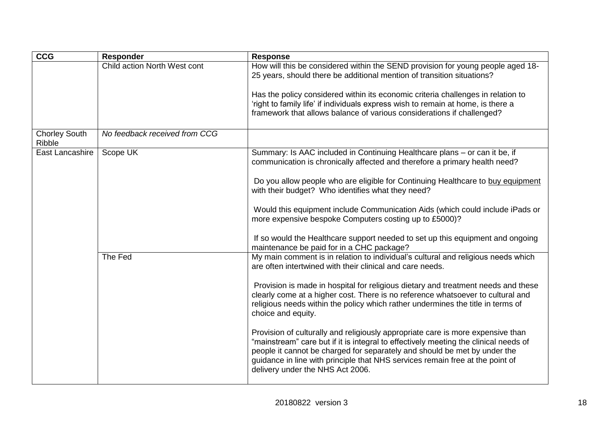| CCG                            | <b>Responder</b>              | <b>Response</b>                                                                                                                                                                                                                                                                                                                                                           |
|--------------------------------|-------------------------------|---------------------------------------------------------------------------------------------------------------------------------------------------------------------------------------------------------------------------------------------------------------------------------------------------------------------------------------------------------------------------|
|                                | Child action North West cont  | How will this be considered within the SEND provision for young people aged 18-<br>25 years, should there be additional mention of transition situations?                                                                                                                                                                                                                 |
|                                |                               | Has the policy considered within its economic criteria challenges in relation to<br>'right to family life' if individuals express wish to remain at home, is there a<br>framework that allows balance of various considerations if challenged?                                                                                                                            |
| <b>Chorley South</b><br>Ribble | No feedback received from CCG |                                                                                                                                                                                                                                                                                                                                                                           |
| East Lancashire                | Scope UK                      | Summary: Is AAC included in Continuing Healthcare plans - or can it be, if<br>communication is chronically affected and therefore a primary health need?                                                                                                                                                                                                                  |
|                                |                               | Do you allow people who are eligible for Continuing Healthcare to buy equipment<br>with their budget? Who identifies what they need?                                                                                                                                                                                                                                      |
|                                |                               | Would this equipment include Communication Aids (which could include iPads or<br>more expensive bespoke Computers costing up to £5000)?                                                                                                                                                                                                                                   |
|                                |                               | If so would the Healthcare support needed to set up this equipment and ongoing<br>maintenance be paid for in a CHC package?                                                                                                                                                                                                                                               |
|                                | The Fed                       | My main comment is in relation to individual's cultural and religious needs which<br>are often intertwined with their clinical and care needs.                                                                                                                                                                                                                            |
|                                |                               | Provision is made in hospital for religious dietary and treatment needs and these<br>clearly come at a higher cost. There is no reference whatsoever to cultural and<br>religious needs within the policy which rather undermines the title in terms of<br>choice and equity.                                                                                             |
|                                |                               | Provision of culturally and religiously appropriate care is more expensive than<br>"mainstream" care but if it is integral to effectively meeting the clinical needs of<br>people it cannot be charged for separately and should be met by under the<br>guidance in line with principle that NHS services remain free at the point of<br>delivery under the NHS Act 2006. |